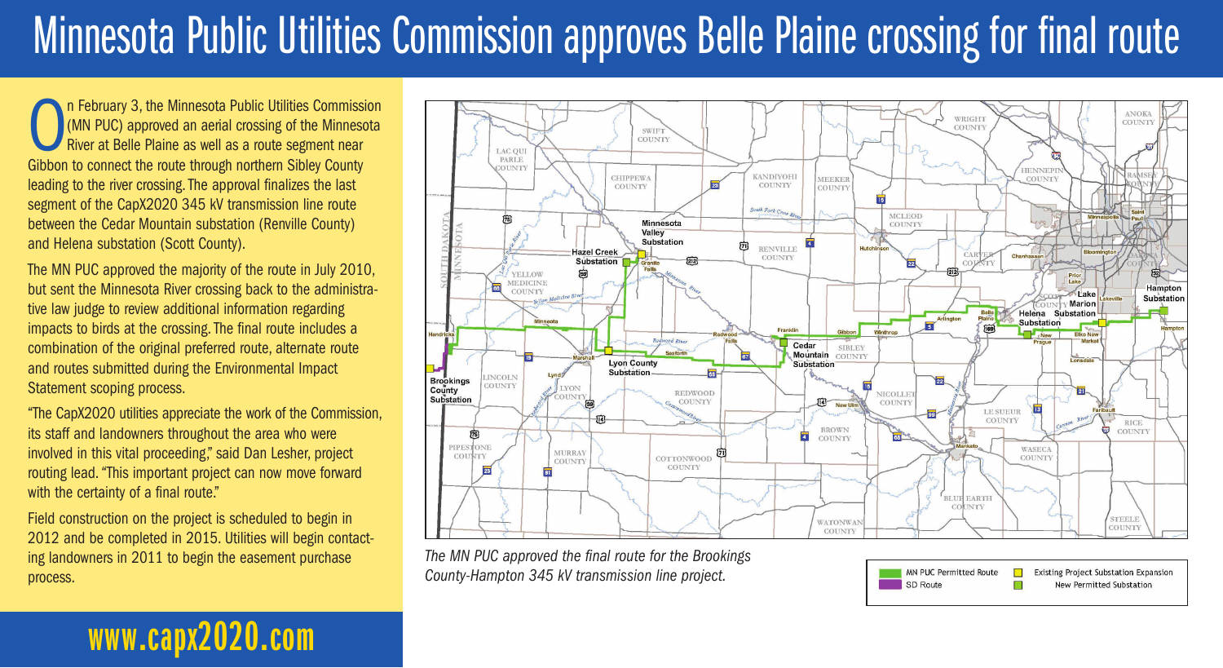## Minnesota Public Utilities Commission approves Belle Plaine crossing for final route

On February 3, the Minnesota Public Utilities Commission<br>
(MN PUC) approved an aerial crossing of the Minnesota<br>
River at Belle Plaine as well as a route segment near<br>
Cibbon to connect the route through porthern Sibley Co (MN PUC) approved an aerial crossing of the Minnesota River at Belle Plaine as well as a route segment near Gibbon to connect the route through northern Sibley County leading to the river crossing. The approval finalizes the last segment of the CapX2020 345 kV transmission line route between the Cedar Mountain substation (Renville County) and Helena substation (Scott County).

The MN PUC approved the majority of the route in July 2010, but sent the Minnesota River crossing back to the administrative law judge to review additional information regarding impacts to birds at the crossing. The final route includes a combination of the original preferred route, alternate route and routes submitted during the Environmental Impact Statement scoping process.

"The CapX2020 utilities appreciate the work of the Commission, its staff and landowners throughout the area who were involved in this vital proceeding," said Dan Lesher, project routing lead. "This important project can now move forward with the certainty of a final route."

Field construction on the project is scheduled to begin in 2012 and be completed in 2015. Utilities will begin contacting landowners in 2011 to begin the easement purchase process.

**www.capx2020.com**



*The MN PUC approved the final route for the Brookings County-Hampton 345 kV transmission line project.*

MN PUC Permitted Route **Existing Project Substation Expansion** SD Route **New Permitted Substation** П